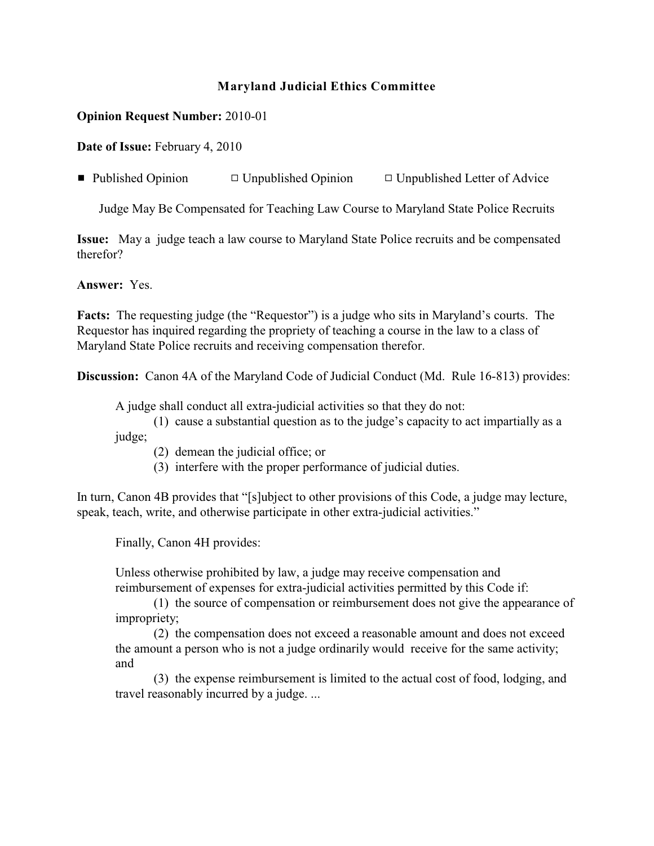## **Maryland Judicial Ethics Committee**

## **Opinion Request Number:** 2010-01

**Date of Issue:** February 4, 2010

**• Published Opinion**  $\Box$  Unpublished Opinion  $\Box$  Unpublished Letter of Advice

Judge May Be Compensated for Teaching Law Course to Maryland State Police Recruits

**Issue:** May a judge teach a law course to Maryland State Police recruits and be compensated therefor?

**Answer:** Yes.

Facts: The requesting judge (the "Requestor") is a judge who sits in Maryland's courts. The Requestor has inquired regarding the propriety of teaching a course in the law to a class of Maryland State Police recruits and receiving compensation therefor.

**Discussion:** Canon 4A of the Maryland Code of Judicial Conduct (Md. Rule 16-813) provides:

A judge shall conduct all extra-judicial activities so that they do not:

- (1) cause a substantial question as to the judge's capacity to act impartially as a judge;
	- (2) demean the judicial office; or
	- (3) interfere with the proper performance of judicial duties.

In turn, Canon 4B provides that "[s]ubject to other provisions of this Code, a judge may lecture, speak, teach, write, and otherwise participate in other extra-judicial activities."

Finally, Canon 4H provides:

Unless otherwise prohibited by law, a judge may receive compensation and reimbursement of expenses for extra-judicial activities permitted by this Code if:

(1) the source of compensation or reimbursement does not give the appearance of impropriety;

(2) the compensation does not exceed a reasonable amount and does not exceed the amount a person who is not a judge ordinarily would receive for the same activity; and

(3) the expense reimbursement is limited to the actual cost of food, lodging, and travel reasonably incurred by a judge. ...